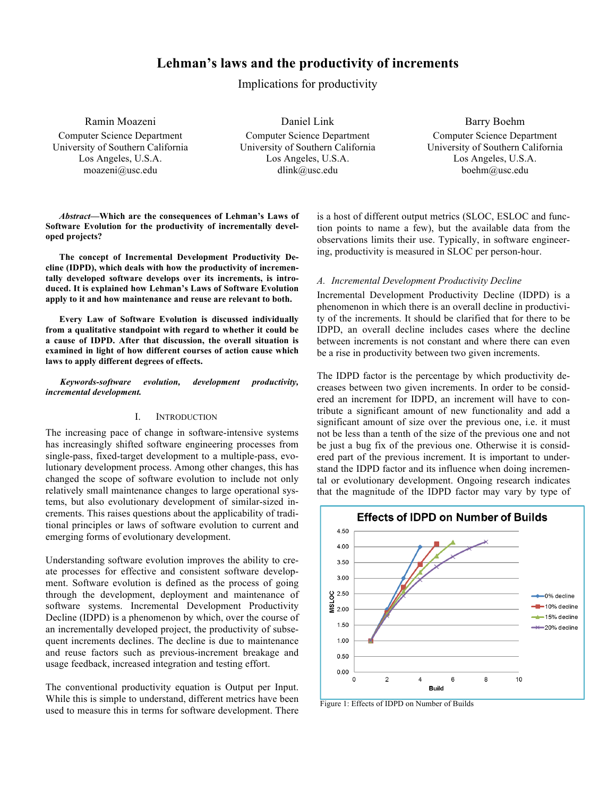# **Lehman's laws and the productivity of increments**

Implications for productivity

Ramin Moazeni Computer Science Department University of Southern California Los Angeles, U.S.A. moazeni@usc.edu

Daniel Link Computer Science Department University of Southern California Los Angeles, U.S.A. dlink@usc.edu

Barry Boehm Computer Science Department University of Southern California Los Angeles, U.S.A. boehm@usc.edu

*Abstract***—Which are the consequences of Lehman's Laws of Software Evolution for the productivity of incrementally developed projects?**

**The concept of Incremental Development Productivity Decline (IDPD), which deals with how the productivity of incrementally developed software develops over its increments, is introduced. It is explained how Lehman's Laws of Software Evolution apply to it and how maintenance and reuse are relevant to both.**

**Every Law of Software Evolution is discussed individually from a qualitative standpoint with regard to whether it could be a cause of IDPD. After that discussion, the overall situation is examined in light of how different courses of action cause which laws to apply different degrees of effects.** 

#### *Keywords-software evolution, development productivity, incremental development.*

#### I. INTRODUCTION

The increasing pace of change in software-intensive systems has increasingly shifted software engineering processes from single-pass, fixed-target development to a multiple-pass, evolutionary development process. Among other changes, this has changed the scope of software evolution to include not only relatively small maintenance changes to large operational systems, but also evolutionary development of similar-sized increments. This raises questions about the applicability of traditional principles or laws of software evolution to current and emerging forms of evolutionary development.

Understanding software evolution improves the ability to create processes for effective and consistent software development. Software evolution is defined as the process of going through the development, deployment and maintenance of software systems. Incremental Development Productivity Decline (IDPD) is a phenomenon by which, over the course of an incrementally developed project, the productivity of subsequent increments declines. The decline is due to maintenance and reuse factors such as previous-increment breakage and usage feedback, increased integration and testing effort.

The conventional productivity equation is Output per Input. While this is simple to understand, different metrics have been used to measure this in terms for software development. There is a host of different output metrics (SLOC, ESLOC and function points to name a few), but the available data from the observations limits their use. Typically, in software engineering, productivity is measured in SLOC per person-hour.

## *A. Incremental Development Productivity Decline*

Incremental Development Productivity Decline (IDPD) is a phenomenon in which there is an overall decline in productivity of the increments. It should be clarified that for there to be IDPD, an overall decline includes cases where the decline between increments is not constant and where there can even be a rise in productivity between two given increments.

The IDPD factor is the percentage by which productivity decreases between two given increments. In order to be considered an increment for IDPD, an increment will have to contribute a significant amount of new functionality and add a significant amount of size over the previous one, i.e. it must not be less than a tenth of the size of the previous one and not be just a bug fix of the previous one. Otherwise it is considered part of the previous increment. It is important to understand the IDPD factor and its influence when doing incremental or evolutionary development. Ongoing research indicates that the magnitude of the IDPD factor may vary by type of



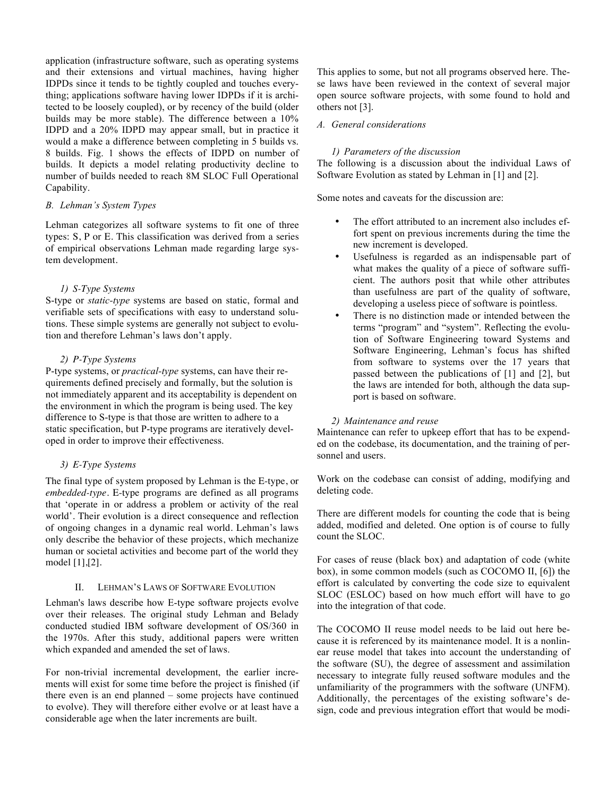application (infrastructure software, such as operating systems and their extensions and virtual machines, having higher IDPDs since it tends to be tightly coupled and touches everything; applications software having lower IDPDs if it is architected to be loosely coupled), or by recency of the build (older builds may be more stable). The difference between a 10% IDPD and a 20% IDPD may appear small, but in practice it would a make a difference between completing in 5 builds vs. 8 builds. Fig. 1 shows the effects of IDPD on number of builds. It depicts a model relating productivity decline to number of builds needed to reach 8M SLOC Full Operational Capability.

## *B. Lehman's System Types*

Lehman categorizes all software systems to fit one of three types: S, P or E. This classification was derived from a series of empirical observations Lehman made regarding large system development.

## *1) S-Type Systems*

S-type or *static-type* systems are based on static, formal and verifiable sets of specifications with easy to understand solutions. These simple systems are generally not subject to evolution and therefore Lehman's laws don't apply.

## *2) P-Type Systems*

P-type systems, or *practical-type* systems, can have their requirements defined precisely and formally, but the solution is not immediately apparent and its acceptability is dependent on the environment in which the program is being used. The key difference to S-type is that those are written to adhere to a static specification, but P-type programs are iteratively developed in order to improve their effectiveness.

## *3) E-Type Systems*

The final type of system proposed by Lehman is the E-type, or *embedded-type*. E-type programs are defined as all programs that 'operate in or address a problem or activity of the real world'. Their evolution is a direct consequence and reflection of ongoing changes in a dynamic real world. Lehman's laws only describe the behavior of these projects, which mechanize human or societal activities and become part of the world they model [1],[2].

### II. LEHMAN'S LAWS OF SOFTWARE EVOLUTION

Lehman's laws describe how E-type software projects evolve over their releases. The original study Lehman and Belady conducted studied IBM software development of OS/360 in the 1970s. After this study, additional papers were written which expanded and amended the set of laws.

For non-trivial incremental development, the earlier increments will exist for some time before the project is finished (if there even is an end planned – some projects have continued to evolve). They will therefore either evolve or at least have a considerable age when the later increments are built.

This applies to some, but not all programs observed here. These laws have been reviewed in the context of several major open source software projects, with some found to hold and others not [3].

## *A. General considerations*

## *1) Parameters of the discussion*

The following is a discussion about the individual Laws of Software Evolution as stated by Lehman in [1] and [2].

Some notes and caveats for the discussion are:

- The effort attributed to an increment also includes effort spent on previous increments during the time the new increment is developed.
- Usefulness is regarded as an indispensable part of what makes the quality of a piece of software sufficient. The authors posit that while other attributes than usefulness are part of the quality of software, developing a useless piece of software is pointless.
- There is no distinction made or intended between the terms "program" and "system". Reflecting the evolution of Software Engineering toward Systems and Software Engineering, Lehman's focus has shifted from software to systems over the 17 years that passed between the publications of [1] and [2], but the laws are intended for both, although the data support is based on software.

#### *2) Maintenance and reuse*

Maintenance can refer to upkeep effort that has to be expended on the codebase, its documentation, and the training of personnel and users.

Work on the codebase can consist of adding, modifying and deleting code.

There are different models for counting the code that is being added, modified and deleted. One option is of course to fully count the SLOC.

For cases of reuse (black box) and adaptation of code (white box), in some common models (such as COCOMO II, [6]) the effort is calculated by converting the code size to equivalent SLOC (ESLOC) based on how much effort will have to go into the integration of that code.

The COCOMO II reuse model needs to be laid out here because it is referenced by its maintenance model. It is a nonlinear reuse model that takes into account the understanding of the software (SU), the degree of assessment and assimilation necessary to integrate fully reused software modules and the unfamiliarity of the programmers with the software (UNFM). Additionally, the percentages of the existing software's design, code and previous integration effort that would be modi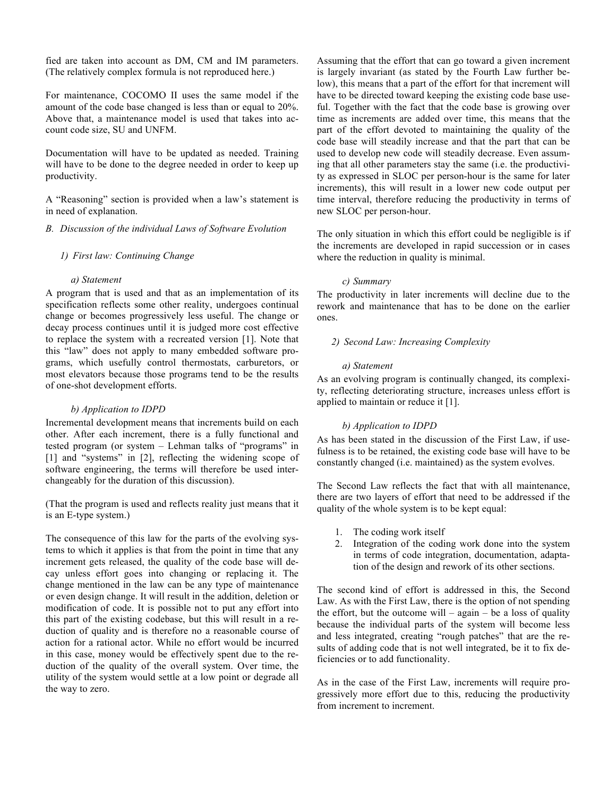fied are taken into account as DM, CM and IM parameters. (The relatively complex formula is not reproduced here.)

For maintenance, COCOMO II uses the same model if the amount of the code base changed is less than or equal to 20%. Above that, a maintenance model is used that takes into account code size, SU and UNFM.

Documentation will have to be updated as needed. Training will have to be done to the degree needed in order to keep up productivity.

A "Reasoning" section is provided when a law's statement is in need of explanation.

## *B. Discussion of the individual Laws of Software Evolution*

## *1) First law: Continuing Change*

#### *a) Statement*

A program that is used and that as an implementation of its specification reflects some other reality, undergoes continual change or becomes progressively less useful. The change or decay process continues until it is judged more cost effective to replace the system with a recreated version [1]. Note that this "law" does not apply to many embedded software programs, which usefully control thermostats, carburetors, or most elevators because those programs tend to be the results of one-shot development efforts.

## *b) Application to IDPD*

Incremental development means that increments build on each other. After each increment, there is a fully functional and tested program (or system – Lehman talks of "programs" in [1] and "systems" in [2], reflecting the widening scope of software engineering, the terms will therefore be used interchangeably for the duration of this discussion).

(That the program is used and reflects reality just means that it is an E-type system.)

The consequence of this law for the parts of the evolving systems to which it applies is that from the point in time that any increment gets released, the quality of the code base will decay unless effort goes into changing or replacing it. The change mentioned in the law can be any type of maintenance or even design change. It will result in the addition, deletion or modification of code. It is possible not to put any effort into this part of the existing codebase, but this will result in a reduction of quality and is therefore no a reasonable course of action for a rational actor. While no effort would be incurred in this case, money would be effectively spent due to the reduction of the quality of the overall system. Over time, the utility of the system would settle at a low point or degrade all the way to zero.

Assuming that the effort that can go toward a given increment is largely invariant (as stated by the Fourth Law further below), this means that a part of the effort for that increment will have to be directed toward keeping the existing code base useful. Together with the fact that the code base is growing over time as increments are added over time, this means that the part of the effort devoted to maintaining the quality of the code base will steadily increase and that the part that can be used to develop new code will steadily decrease. Even assuming that all other parameters stay the same (i.e. the productivity as expressed in SLOC per person-hour is the same for later increments), this will result in a lower new code output per time interval, therefore reducing the productivity in terms of new SLOC per person-hour.

The only situation in which this effort could be negligible is if the increments are developed in rapid succession or in cases where the reduction in quality is minimal.

#### *c) Summary*

The productivity in later increments will decline due to the rework and maintenance that has to be done on the earlier ones.

### *2) Second Law: Increasing Complexity*

#### *a) Statement*

As an evolving program is continually changed, its complexity, reflecting deteriorating structure, increases unless effort is applied to maintain or reduce it [1].

#### *b) Application to IDPD*

As has been stated in the discussion of the First Law, if usefulness is to be retained, the existing code base will have to be constantly changed (i.e. maintained) as the system evolves.

The Second Law reflects the fact that with all maintenance, there are two layers of effort that need to be addressed if the quality of the whole system is to be kept equal:

- 1. The coding work itself
- 2. Integration of the coding work done into the system in terms of code integration, documentation, adaptation of the design and rework of its other sections.

The second kind of effort is addressed in this, the Second Law. As with the First Law, there is the option of not spending the effort, but the outcome will – again – be a loss of quality because the individual parts of the system will become less and less integrated, creating "rough patches" that are the results of adding code that is not well integrated, be it to fix deficiencies or to add functionality.

As in the case of the First Law, increments will require progressively more effort due to this, reducing the productivity from increment to increment.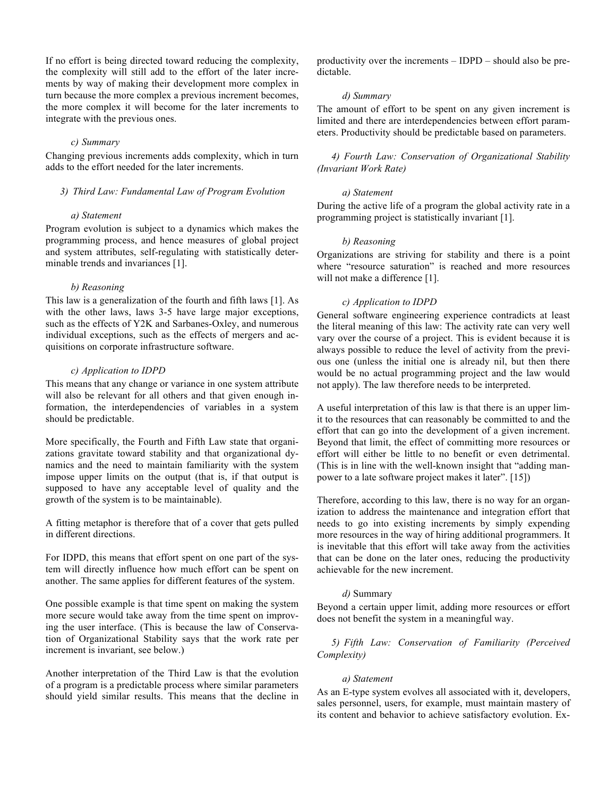If no effort is being directed toward reducing the complexity, the complexity will still add to the effort of the later increments by way of making their development more complex in turn because the more complex a previous increment becomes, the more complex it will become for the later increments to integrate with the previous ones.

## *c) Summary*

Changing previous increments adds complexity, which in turn adds to the effort needed for the later increments.

#### *3) Third Law: Fundamental Law of Program Evolution*

#### *a) Statement*

Program evolution is subject to a dynamics which makes the programming process, and hence measures of global project and system attributes, self-regulating with statistically determinable trends and invariances [1].

#### *b) Reasoning*

This law is a generalization of the fourth and fifth laws [1]. As with the other laws, laws 3-5 have large major exceptions, such as the effects of Y2K and Sarbanes-Oxley, and numerous individual exceptions, such as the effects of mergers and acquisitions on corporate infrastructure software.

## *c) Application to IDPD*

This means that any change or variance in one system attribute will also be relevant for all others and that given enough information, the interdependencies of variables in a system should be predictable.

More specifically, the Fourth and Fifth Law state that organizations gravitate toward stability and that organizational dynamics and the need to maintain familiarity with the system impose upper limits on the output (that is, if that output is supposed to have any acceptable level of quality and the growth of the system is to be maintainable).

A fitting metaphor is therefore that of a cover that gets pulled in different directions.

For IDPD, this means that effort spent on one part of the system will directly influence how much effort can be spent on another. The same applies for different features of the system.

One possible example is that time spent on making the system more secure would take away from the time spent on improving the user interface. (This is because the law of Conservation of Organizational Stability says that the work rate per increment is invariant, see below.)

Another interpretation of the Third Law is that the evolution of a program is a predictable process where similar parameters should yield similar results. This means that the decline in

productivity over the increments – IDPD – should also be predictable.

## *d) Summary*

The amount of effort to be spent on any given increment is limited and there are interdependencies between effort parameters. Productivity should be predictable based on parameters.

*4) Fourth Law: Conservation of Organizational Stability (Invariant Work Rate)*

#### *a) Statement*

During the active life of a program the global activity rate in a programming project is statistically invariant [1].

#### *b) Reasoning*

Organizations are striving for stability and there is a point where "resource saturation" is reached and more resources will not make a difference [1].

#### *c) Application to IDPD*

General software engineering experience contradicts at least the literal meaning of this law: The activity rate can very well vary over the course of a project. This is evident because it is always possible to reduce the level of activity from the previous one (unless the initial one is already nil, but then there would be no actual programming project and the law would not apply). The law therefore needs to be interpreted.

A useful interpretation of this law is that there is an upper limit to the resources that can reasonably be committed to and the effort that can go into the development of a given increment. Beyond that limit, the effect of committing more resources or effort will either be little to no benefit or even detrimental. (This is in line with the well-known insight that "adding manpower to a late software project makes it later". [15])

Therefore, according to this law, there is no way for an organization to address the maintenance and integration effort that needs to go into existing increments by simply expending more resources in the way of hiring additional programmers. It is inevitable that this effort will take away from the activities that can be done on the later ones, reducing the productivity achievable for the new increment.

## *d)* Summary

Beyond a certain upper limit, adding more resources or effort does not benefit the system in a meaningful way.

*5) Fifth Law: Conservation of Familiarity (Perceived Complexity)*

#### *a) Statement*

As an E-type system evolves all associated with it, developers, sales personnel, users, for example, must maintain mastery of its content and behavior to achieve satisfactory evolution. Ex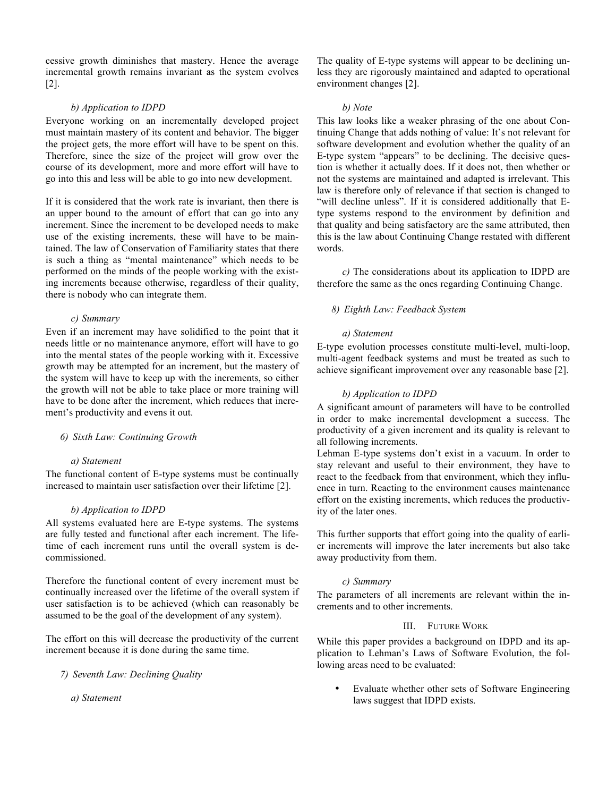cessive growth diminishes that mastery. Hence the average incremental growth remains invariant as the system evolves [2].

## *b) Application to IDPD*

Everyone working on an incrementally developed project must maintain mastery of its content and behavior. The bigger the project gets, the more effort will have to be spent on this. Therefore, since the size of the project will grow over the course of its development, more and more effort will have to go into this and less will be able to go into new development.

If it is considered that the work rate is invariant, then there is an upper bound to the amount of effort that can go into any increment. Since the increment to be developed needs to make use of the existing increments, these will have to be maintained. The law of Conservation of Familiarity states that there is such a thing as "mental maintenance" which needs to be performed on the minds of the people working with the existing increments because otherwise, regardless of their quality, there is nobody who can integrate them.

## *c) Summary*

Even if an increment may have solidified to the point that it needs little or no maintenance anymore, effort will have to go into the mental states of the people working with it. Excessive growth may be attempted for an increment, but the mastery of the system will have to keep up with the increments, so either the growth will not be able to take place or more training will have to be done after the increment, which reduces that increment's productivity and evens it out.

### *6) Sixth Law: Continuing Growth*

### *a) Statement*

The functional content of E-type systems must be continually increased to maintain user satisfaction over their lifetime [2].

## *b) Application to IDPD*

All systems evaluated here are E-type systems. The systems are fully tested and functional after each increment. The lifetime of each increment runs until the overall system is decommissioned.

Therefore the functional content of every increment must be continually increased over the lifetime of the overall system if user satisfaction is to be achieved (which can reasonably be assumed to be the goal of the development of any system).

The effort on this will decrease the productivity of the current increment because it is done during the same time.

*7) Seventh Law: Declining Quality*

*a) Statement*

The quality of E-type systems will appear to be declining unless they are rigorously maintained and adapted to operational environment changes [2].

#### *b) Note*

This law looks like a weaker phrasing of the one about Continuing Change that adds nothing of value: It's not relevant for software development and evolution whether the quality of an E-type system "appears" to be declining. The decisive question is whether it actually does. If it does not, then whether or not the systems are maintained and adapted is irrelevant. This law is therefore only of relevance if that section is changed to "will decline unless". If it is considered additionally that Etype systems respond to the environment by definition and that quality and being satisfactory are the same attributed, then this is the law about Continuing Change restated with different words.

*c)* The considerations about its application to IDPD are therefore the same as the ones regarding Continuing Change.

## *8) Eighth Law: Feedback System*

#### *a) Statement*

E-type evolution processes constitute multi-level, multi-loop, multi-agent feedback systems and must be treated as such to achieve significant improvement over any reasonable base [2].

## *b) Application to IDPD*

A significant amount of parameters will have to be controlled in order to make incremental development a success. The productivity of a given increment and its quality is relevant to all following increments.

Lehman E-type systems don't exist in a vacuum. In order to stay relevant and useful to their environment, they have to react to the feedback from that environment, which they influence in turn. Reacting to the environment causes maintenance effort on the existing increments, which reduces the productivity of the later ones.

This further supports that effort going into the quality of earlier increments will improve the later increments but also take away productivity from them.

#### *c) Summary*

The parameters of all increments are relevant within the increments and to other increments.

## III. FUTURE WORK

While this paper provides a background on IDPD and its application to Lehman's Laws of Software Evolution, the following areas need to be evaluated:

• Evaluate whether other sets of Software Engineering laws suggest that IDPD exists.